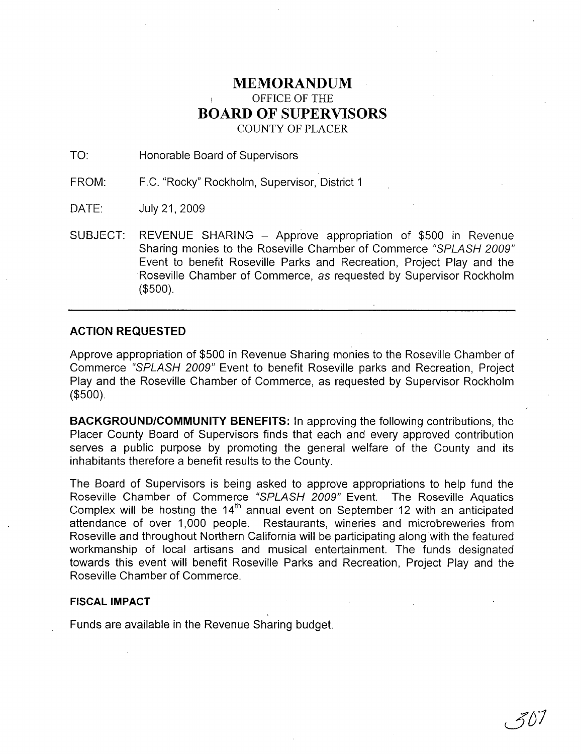## **MEMORANDUM** OFFICE OF THE **BOARD OF SUPERVISORS** COUNTY OF PLACER

TO: Honorable Board of Supervisors

FROM: F.C. "Rocky" Rockholm, Supervisor, District 1

DATE: July 21, 2009

SUBJECT: REVENUE SHARING - Approve appropriation of \$500 in Revenue Sharing monies to the Roseville Chamber of Commerce "SPLASH 2009" Event to benefit Roseville Parks and Recreation, Project Play and the Roseville Chamber of Commerce, as requested by Supervisor Rockholm (\$500).

## **ACTION REQUESTED**

Approve appropriation of \$500 in Revenue Sharing monies to the Roseville Chamber of Commerce "SPLASH 2009" Event to benefit Roseville parks and Recreation, Project Play and the Roseville Chamber of Commerce, as requested by Supervisor Rockholm (\$500).

**BACKGROUND/COMMUNITY BENEFITS:** In approving the following contributions, the Placer County Board of Supervisors finds that each and every approved contribution serves a public purpose by promoting the general welfare of the County and its inhabitants therefore a benefit results to the County.

The Board of Supervisors is being asked to approve appropriations to help fund the Roseville Chamber of Commerce "SPLASH 2009" Event. The Roseville Aquatics Complex will be hosting the 14<sup>th</sup> annual event on September 12 with an anticipated attendance of over 1,000 people. Restaurants, wineries and microbreweries from Roseville and throughout Northern California will be participating along with the featured workmanship of local artisans and musical entertainment. The funds designated towards this event will benefit Roseville Parks and Recreation, Project Play and the Roseville Chamber of Commerce.

## **FISCAL IMPACT**

Funds are available in the Revenue Sharing budget.